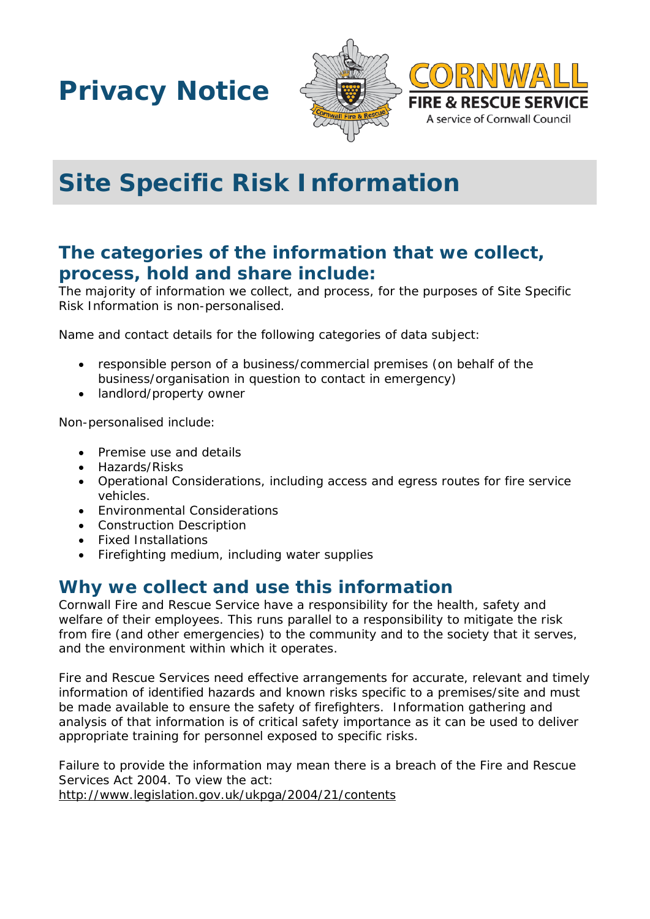**Privacy Notice**





# **Site Specific Risk Information**

# **The categories of the information that we collect, process, hold and share include:**

The majority of information we collect, and process, for the purposes of Site Specific Risk Information is non-personalised.

Name and contact details for the following categories of data subject:

- responsible person of a business/commercial premises (on behalf of the business/organisation in question to contact in emergency)
- landlord/property owner

Non-personalised include:

- Premise use and details
- Hazards/Risks
- Operational Considerations, including access and egress routes for fire service vehicles.
- Environmental Considerations
- Construction Description
- Fixed Installations
- Firefighting medium, including water supplies

### **Why we collect and use this information**

Cornwall Fire and Rescue Service have a responsibility for the health, safety and welfare of their employees. This runs parallel to a responsibility to mitigate the risk from fire (and other emergencies) to the community and to the society that it serves, and the environment within which it operates.

Fire and Rescue Services need effective arrangements for accurate, relevant and timely information of identified hazards and known risks specific to a premises/site and must be made available to ensure the safety of firefighters. Information gathering and analysis of that information is of critical safety importance as it can be used to deliver appropriate training for personnel exposed to specific risks.

Failure to provide the information may mean there is a breach of the Fire and Rescue Services Act 2004. To view the act: <http://www.legislation.gov.uk/ukpga/2004/21/contents>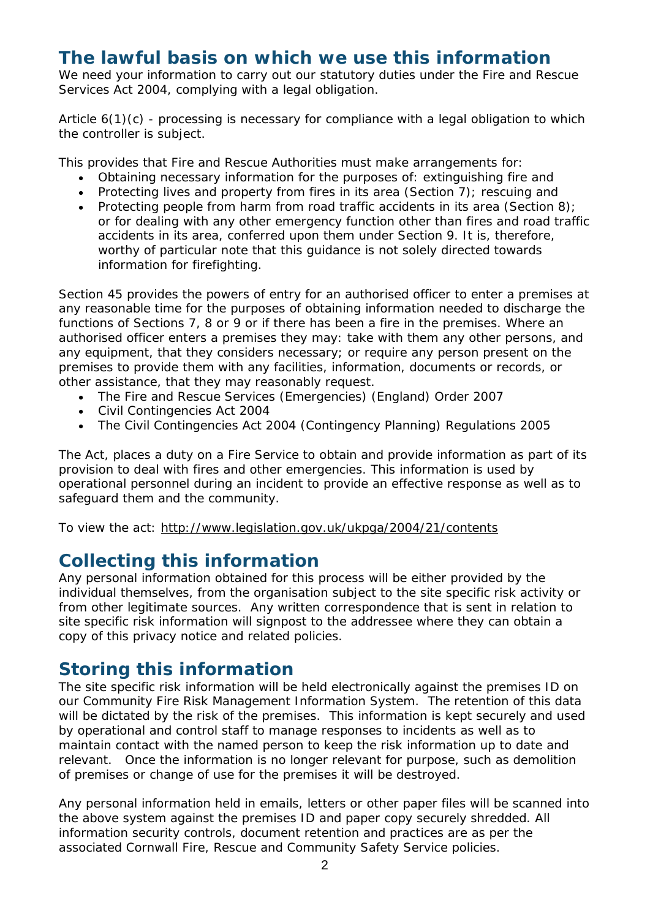### **The lawful basis on which we use this information**

We need your information to carry out our statutory duties under the Fire and Rescue Services Act 2004, complying with a legal obligation.

Article  $6(1)(c)$  - processing is necessary for compliance with a legal obligation to which the controller is subject.

This provides that Fire and Rescue Authorities must make arrangements for:

- Obtaining necessary information for the purposes of: extinguishing fire and
- Protecting lives and property from fires in its area (Section 7); rescuing and
- Protecting people from harm from road traffic accidents in its area (Section 8); or for dealing with any other emergency function other than fires and road traffic accidents in its area, conferred upon them under Section 9. It is, therefore, worthy of particular note that this guidance is not solely directed towards information for firefighting.

Section 45 provides the powers of entry for an authorised officer to enter a premises at any reasonable time for the purposes of obtaining information needed to discharge the functions of Sections 7, 8 or 9 or if there has been a fire in the premises. Where an authorised officer enters a premises they may: take with them any other persons, and any equipment, that they considers necessary; or require any person present on the premises to provide them with any facilities, information, documents or records, or other assistance, that they may reasonably request.

- The Fire and Rescue Services (Emergencies) (England) Order 2007
- Civil Contingencies Act 2004
- The Civil Contingencies Act 2004 (Contingency Planning) Regulations 2005

The Act, places a duty on a Fire Service to obtain and provide information as part of its provision to deal with fires and other emergencies. This information is used by operational personnel during an incident to provide an effective response as well as to safeguard them and the community.

To view the act:<http://www.legislation.gov.uk/ukpga/2004/21/contents>

### **Collecting this information**

Any personal information obtained for this process will be either provided by the individual themselves, from the organisation subject to the site specific risk activity or from other legitimate sources. Any written correspondence that is sent in relation to site specific risk information will signpost to the addressee where they can obtain a copy of this privacy notice and related policies.

#### **Storing this information**

The site specific risk information will be held electronically against the premises ID on our Community Fire Risk Management Information System. The retention of this data will be dictated by the risk of the premises. This information is kept securely and used by operational and control staff to manage responses to incidents as well as to maintain contact with the named person to keep the risk information up to date and relevant. Once the information is no longer relevant for purpose, such as demolition of premises or change of use for the premises it will be destroyed.

Any personal information held in emails, letters or other paper files will be scanned into the above system against the premises ID and paper copy securely shredded. All information security controls, document retention and practices are as per the associated Cornwall Fire, Rescue and Community Safety Service policies.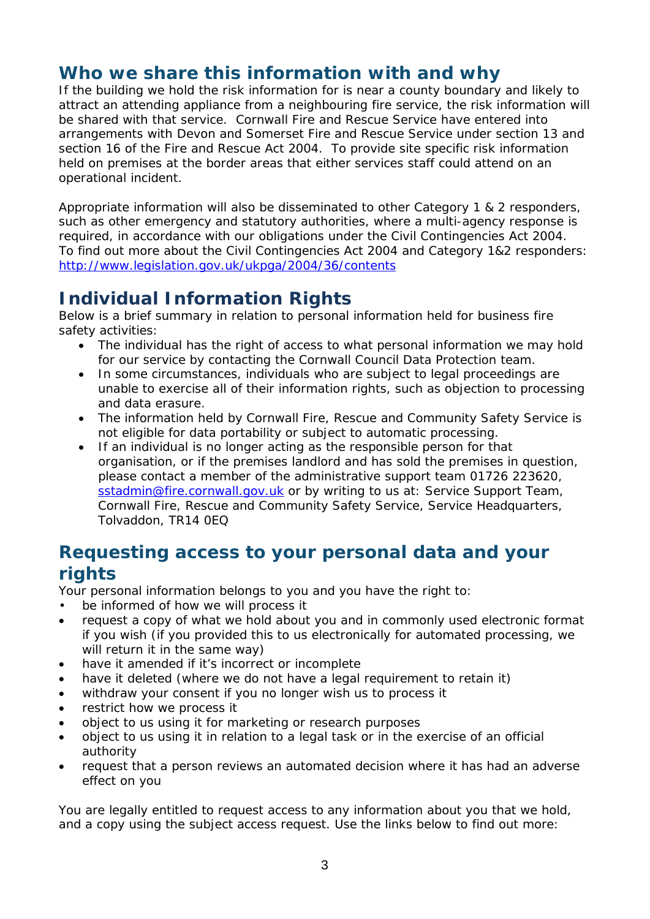# **Who we share this information with and why**

If the building we hold the risk information for is near a county boundary and likely to attract an attending appliance from a neighbouring fire service, the risk information will be shared with that service. Cornwall Fire and Rescue Service have entered into arrangements with Devon and Somerset Fire and Rescue Service under section 13 and section 16 of the Fire and Rescue Act 2004. To provide site specific risk information held on premises at the border areas that either services staff could attend on an operational incident.

Appropriate information will also be disseminated to other Category 1 & 2 responders, such as other emergency and statutory authorities, where a multi-agency response is required, in accordance with our obligations under the Civil Contingencies Act 2004. To find out more about the Civil Contingencies Act 2004 and Category 1&2 responders: <http://www.legislation.gov.uk/ukpga/2004/36/contents>

# **Individual Information Rights**

Below is a brief summary in relation to personal information held for business fire safety activities:

- The individual has the right of access to what personal information we may hold for our service by contacting the Cornwall Council Data Protection team.
- In some circumstances, individuals who are subject to legal proceedings are unable to exercise all of their information rights, such as objection to processing and data erasure.
- The information held by Cornwall Fire, Rescue and Community Safety Service is not eligible for data portability or subject to automatic processing.
- If an individual is no longer acting as the responsible person for that organisation, or if the premises landlord and has sold the premises in question, please contact a member of the administrative support team 01726 223620, [sstadmin@fire.cornwall.gov.uk](mailto:sstadmin@fire.cornwall.gov.uk) or by writing to us at: Service Support Team, Cornwall Fire, Rescue and Community Safety Service, Service Headquarters, Tolvaddon, TR14 0EQ

### **Requesting access to your personal data and your rights**

Your personal information belongs to you and you have the right to:

- be informed of how we will process it
- request a copy of what we hold about you and in commonly used electronic format if you wish (if you provided this to us electronically for automated processing, we will return it in the same way)
- have it amended if it's incorrect or incomplete
- have it deleted (where we do not have a legal requirement to retain it)
- withdraw your consent if you no longer wish us to process it
- restrict how we process it
- object to us using it for marketing or research purposes
- object to us using it in relation to a legal task or in the exercise of an official authority
- request that a person reviews an automated decision where it has had an adverse effect on you

You are legally entitled to request access to any information about you that we hold, and a copy using the subject access request. Use the links below to find out more: